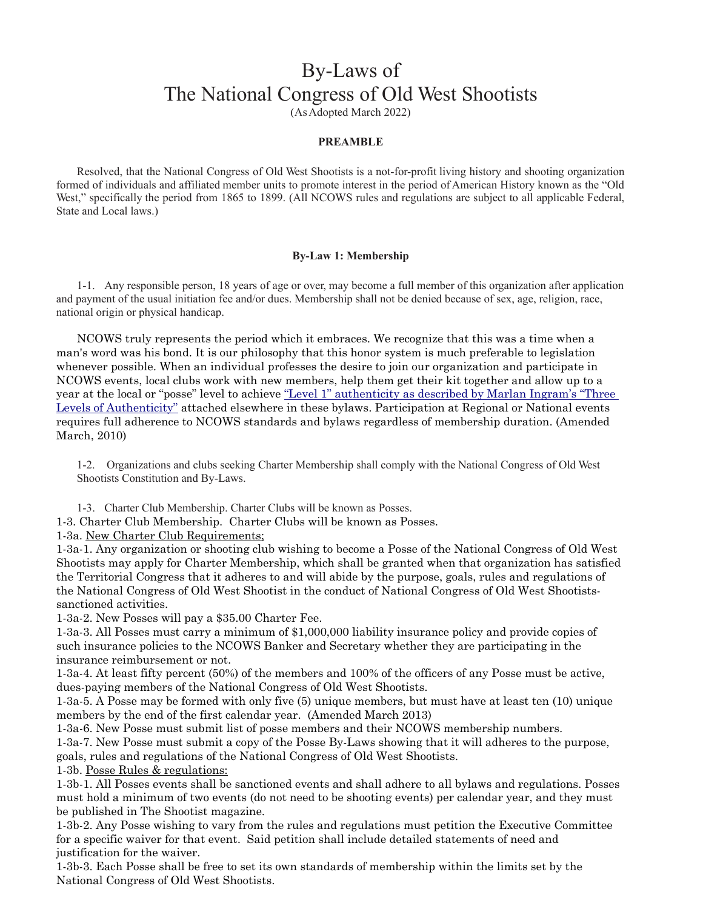# By-Laws of The National Congress of Old West Shootists

(As Adopted March 2022)

# **PREAMBLE**

Resolved, that the National Congress of Old West Shootists is a not-for-profit living history and shooting organization formed of individuals and affiliated member units to promote interest in the period of American History known as the "Old West," specifically the period from 1865 to 1899. (All NCOWS rules and regulations are subject to all applicable Federal, State and Local laws.)

# **By-Law 1: Membership**

1-1. Any responsible person, 18 years of age or over, may become a full member of this organization after application and payment of the usual initiation fee and/or dues. Membership shall not be denied because of sex, age, religion, race, national origin or physical handicap.

NCOWS truly represents the period which it embraces. We recognize that this was a time when a man's word was his bond. It is our philosophy that this honor system is much preferable to legislation whenever possible. When an individual professes the desire to join our organization and participate in NCOWS events, local clubs work with new members, help them get their kit together and allow up to a year at the local or "posse" level to achieve "Level 1" authenticity as described by Marlan Ingram's "Three Levels of Authenticity" attached elsewhere in these bylaws. Participation at Regional or National events requires full adherence to NCOWS standards and bylaws regardless of membership duration. (Amended March, 2010)

1-2. Organizations and clubs seeking Charter Membership shall comply with the National Congress of Old West Shootists Constitution and By-Laws.

1-3. Charter Club Membership. Charter Clubs will be known as Posses.

1-3. Charter Club Membership. Charter Clubs will be known as Posses.

1-3a. New Charter Club Requirements;

1-3a-1. Any organization or shooting club wishing to become a Posse of the National Congress of Old West Shootists may apply for Charter Membership, which shall be granted when that organization has satisfied the Territorial Congress that it adheres to and will abide by the purpose, goals, rules and regulations of the National Congress of Old West Shootist in the conduct of National Congress of Old West Shootistssanctioned activities.

1-3a-2. New Posses will pay a \$35.00 Charter Fee.

1-3a-3. All Posses must carry a minimum of \$1,000,000 liability insurance policy and provide copies of such insurance policies to the NCOWS Banker and Secretary whether they are participating in the insurance reimbursement or not.

1-3a-4. At least fifty percent (50%) of the members and 100% of the officers of any Posse must be active, dues-paying members of the National Congress of Old West Shootists.

1-3a-5. A Posse may be formed with only five (5) unique members, but must have at least ten (10) unique members by the end of the first calendar year. (Amended March 2013)

1-3a-6. New Posse must submit list of posse members and their NCOWS membership numbers. 1-3a-7. New Posse must submit a copy of the Posse By-Laws showing that it will adheres to the purpose, goals, rules and regulations of the National Congress of Old West Shootists.

1-3b. Posse Rules & regulations:

1-3b-1. All Posses events shall be sanctioned events and shall adhere to all bylaws and regulations. Posses must hold a minimum of two events (do not need to be shooting events) per calendar year, and they must be published in The Shootist magazine.

1-3b-2. Any Posse wishing to vary from the rules and regulations must petition the Executive Committee for a specific waiver for that event. Said petition shall include detailed statements of need and justification for the waiver.

1-3b-3. Each Posse shall be free to set its own standards of membership within the limits set by the National Congress of Old West Shootists.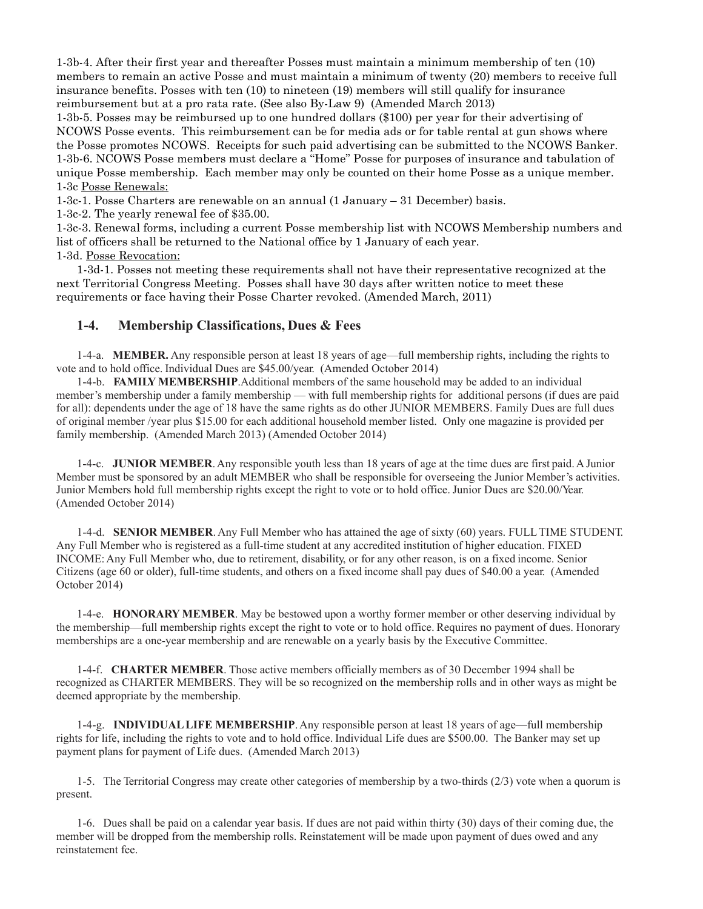1-3b-4. After their first year and thereafter Posses must maintain a minimum membership of ten (10) members to remain an active Posse and must maintain a minimum of twenty (20) members to receive full insurance benefits. Posses with ten (10) to nineteen (19) members will still qualify for insurance reimbursement but at a pro rata rate. (See also By-Law 9) (Amended March 2013)

1-3b-5. Posses may be reimbursed up to one hundred dollars (\$100) per year for their advertising of NCOWS Posse events. This reimbursement can be for media ads or for table rental at gun shows where the Posse promotes NCOWS. Receipts for such paid advertising can be submitted to the NCOWS Banker. 1-3b-6. NCOWS Posse members must declare a "Home" Posse for purposes of insurance and tabulation of unique Posse membership. Each member may only be counted on their home Posse as a unique member. 1-3c Posse Renewals:

1-3c-1. Posse Charters are renewable on an annual (1 January – 31 December) basis.

1-3c-2. The yearly renewal fee of \$35.00.

1-3c-3. Renewal forms, including a current Posse membership list with NCOWS Membership numbers and list of officers shall be returned to the National office by 1 January of each year. 1-3d. Posse Revocation:

1-3d-1. Posses not meeting these requirements shall not have their representative recognized at the next Territorial Congress Meeting. Posses shall have 30 days after written notice to meet these requirements or face having their Posse Charter revoked. (Amended March, 2011)

# **1-4. Membership Classifications, Dues & Fees**

1-4-a. **MEMBER.** Any responsible person at least 18 years of age—full membership rights, including the rights to vote and to hold office. Individual Dues are \$45.00/year. (Amended October 2014)

1-4-b. **FAMILY MEMBERSHIP**.Additional members of the same household may be added to an individual member's membership under a family membership — with full membership rights for additional persons (if dues are paid for all): dependents under the age of 18 have the same rights as do other JUNIOR MEMBERS. Family Dues are full dues of original member /year plus \$15.00 for each additional household member listed. Only one magazine is provided per family membership. (Amended March 2013) (Amended October 2014)

1-4-c. **JUNIOR MEMBER**. Any responsible youth less than 18 years of age at the time dues are first paid. A Junior Member must be sponsored by an adult MEMBER who shall be responsible for overseeing the Junior Member's activities. Junior Members hold full membership rights except the right to vote or to hold office. Junior Dues are \$20.00/Year. (Amended October 2014)

1-4-d. **SENIOR MEMBER**. Any Full Member who has attained the age of sixty (60) years. FULL TIME STUDENT. Any Full Member who is registered as a full-time student at any accredited institution of higher education. FIXED INCOME: Any Full Member who, due to retirement, disability, or for any other reason, is on a fixed income. Senior Citizens (age 60 or older), full-time students, and others on a fixed income shall pay dues of \$40.00 a year. (Amended October 2014)

1-4-e. **HONORARY MEMBER**. May be bestowed upon a worthy former member or other deserving individual by the membership—full membership rights except the right to vote or to hold office. Requires no payment of dues. Honorary memberships are a one-year membership and are renewable on a yearly basis by the Executive Committee.

1-4-f. **CHARTER MEMBER**. Those active members officially members as of 30 December 1994 shall be recognized as CHARTER MEMBERS. They will be so recognized on the membership rolls and in other ways as might be deemed appropriate by the membership.

1-4-g. **INDIVIDUAL LIFE MEMBERSHIP**. Any responsible person at least 18 years of age—full membership rights for life, including the rights to vote and to hold office. Individual Life dues are \$500.00. The Banker may set up payment plans for payment of Life dues. (Amended March 2013)

1-5. The Territorial Congress may create other categories of membership by a two-thirds (2/3) vote when a quorum is present.

1-6. Dues shall be paid on a calendar year basis. If dues are not paid within thirty (30) days of their coming due, the member will be dropped from the membership rolls. Reinstatement will be made upon payment of dues owed and any reinstatement fee.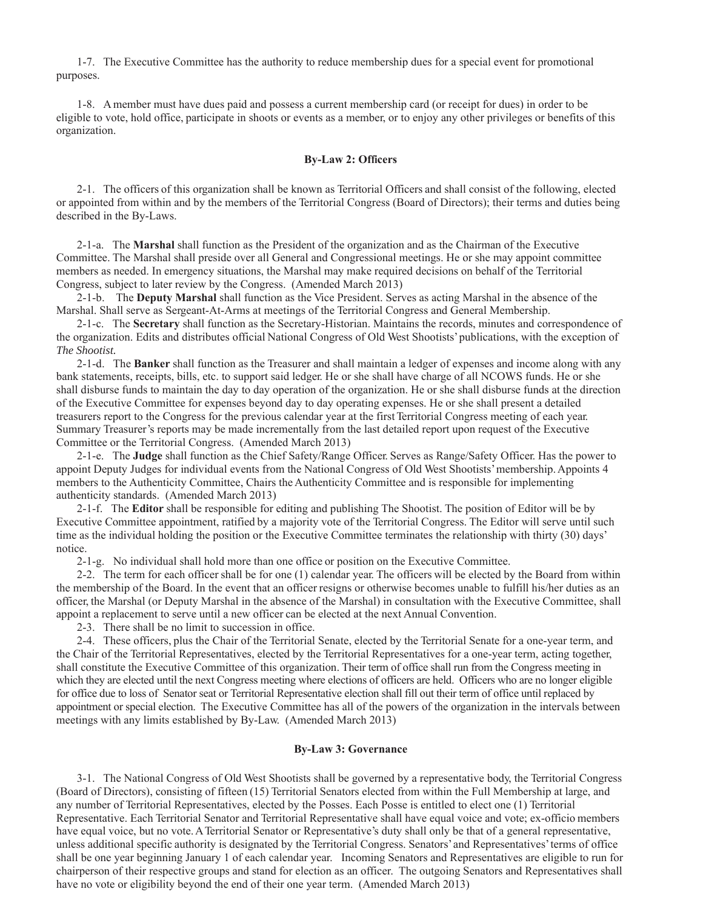1-7. The Executive Committee has the authority to reduce membership dues for a special event for promotional purposes.

1-8. A member must have dues paid and possess a current membership card (or receipt for dues) in order to be eligible to vote, hold office, participate in shoots or events as a member, or to enjoy any other privileges or benefits of this organization.

#### **By-Law 2: Officers**

2-1. The officers of this organization shall be known as Territorial Officers and shall consist of the following, elected or appointed from within and by the members of the Territorial Congress (Board of Directors); their terms and duties being described in the By-Laws.

2-1-a. The **Marshal** shall function as the President of the organization and as the Chairman of the Executive Committee. The Marshal shall preside over all General and Congressional meetings. He or she may appoint committee members as needed. In emergency situations, the Marshal may make required decisions on behalf of the Territorial Congress, subject to later review by the Congress. (Amended March 2013)

2-1-b. The **Deputy Marshal** shall function as the Vice President. Serves as acting Marshal in the absence of the Marshal. Shall serve as Sergeant-At-Arms at meetings of the Territorial Congress and General Membership.

2-1-c. The **Secretary** shall function as the Secretary-Historian. Maintains the records, minutes and correspondence of the organization. Edits and distributes official National Congress of Old West Shootists' publications, with the exception of *The Shootist.* 

2-1-d. The **Banker** shall function as the Treasurer and shall maintain a ledger of expenses and income along with any bank statements, receipts, bills, etc. to support said ledger. He or she shall have charge of all NCOWS funds. He or she shall disburse funds to maintain the day to day operation of the organization. He or she shall disburse funds at the direction of the Executive Committee for expenses beyond day to day operating expenses. He or she shall present a detailed treasurers report to the Congress for the previous calendar year at the first Territorial Congress meeting of each year. Summary Treasurer's reports may be made incrementally from the last detailed report upon request of the Executive Committee or the Territorial Congress. (Amended March 2013)

2-1-e. The **Judge** shall function as the Chief Safety/Range Officer. Serves as Range/Safety Officer. Has the power to appoint Deputy Judges for individual events from the National Congress of Old West Shootists' membership. Appoints 4 members to the Authenticity Committee, Chairs the Authenticity Committee and is responsible for implementing authenticity standards. (Amended March 2013)

2-1-f. The **Editor** shall be responsible for editing and publishing The Shootist. The position of Editor will be by Executive Committee appointment, ratified by a majority vote of the Territorial Congress. The Editor will serve until such time as the individual holding the position or the Executive Committee terminates the relationship with thirty (30) days' notice.

2-1-g. No individual shall hold more than one office or position on the Executive Committee.

2-2. The term for each officer shall be for one (1) calendar year. The officers will be elected by the Board from within the membership of the Board. In the event that an officer resigns or otherwise becomes unable to fulfill his/her duties as an officer, the Marshal (or Deputy Marshal in the absence of the Marshal) in consultation with the Executive Committee, shall appoint a replacement to serve until a new officer can be elected at the next Annual Convention.

2-3. There shall be no limit to succession in office.

2-4. These officers, plus the Chair of the Territorial Senate, elected by the Territorial Senate for a one-year term, and the Chair of the Territorial Representatives, elected by the Territorial Representatives for a one-year term, acting together, shall constitute the Executive Committee of this organization. Their term of office shall run from the Congress meeting in which they are elected until the next Congress meeting where elections of officers are held. Officers who are no longer eligible for office due to loss of Senator seat or Territorial Representative election shall fill out their term of office until replaced by appointment or special election. The Executive Committee has all of the powers of the organization in the intervals between meetings with any limits established by By-Law. (Amended March 2013)

### **By-Law 3: Governance**

3-1. The National Congress of Old West Shootists shall be governed by a representative body, the Territorial Congress (Board of Directors), consisting of fifteen (15) Territorial Senators elected from within the Full Membership at large, and any number of Territorial Representatives, elected by the Posses. Each Posse is entitled to elect one (1) Territorial Representative. Each Territorial Senator and Territorial Representative shall have equal voice and vote; ex-officio members have equal voice, but no vote. A Territorial Senator or Representative's duty shall only be that of a general representative, unless additional specific authority is designated by the Territorial Congress. Senators' and Representatives' terms of office shall be one year beginning January 1 of each calendar year. Incoming Senators and Representatives are eligible to run for chairperson of their respective groups and stand for election as an officer. The outgoing Senators and Representatives shall have no vote or eligibility beyond the end of their one year term. (Amended March 2013)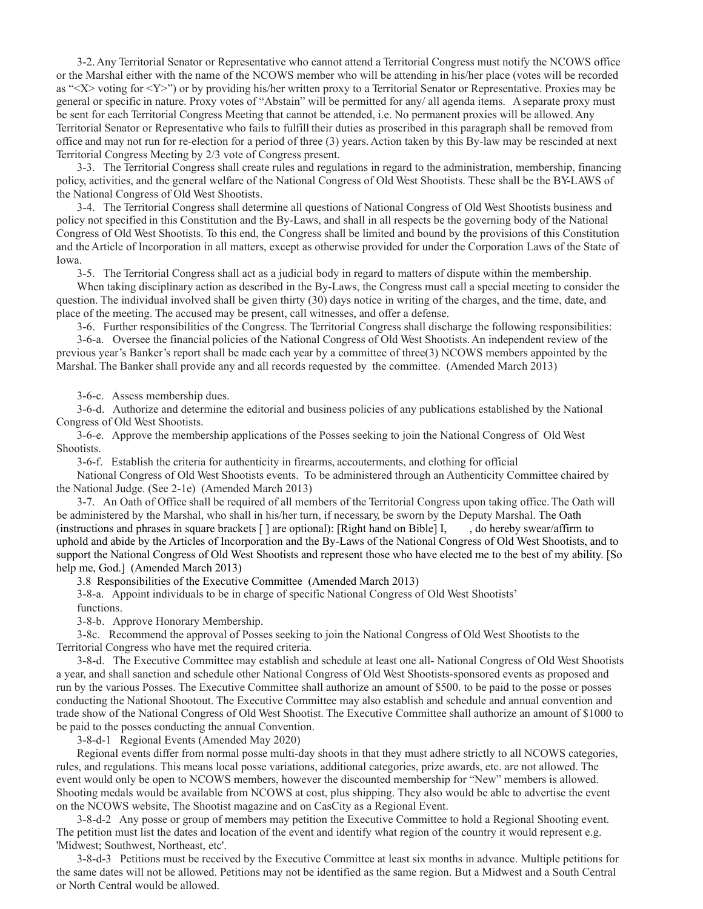3-2. Any Territorial Senator or Representative who cannot attend a Territorial Congress must notify the NCOWS office or the Marshal either with the name of the NCOWS member who will be attending in his/her place (votes will be recorded as "<X> voting for <Y>") or by providing his/her written proxy to a Territorial Senator or Representative. Proxies may be general or specific in nature. Proxy votes of "Abstain" will be permitted for any/ all agenda items. A separate proxy must be sent for each Territorial Congress Meeting that cannot be attended, i.e. No permanent proxies will be allowed. Any Territorial Senator or Representative who fails to fulfill their duties as proscribed in this paragraph shall be removed from office and may not run for re-election for a period of three (3) years. Action taken by this By-law may be rescinded at next Territorial Congress Meeting by 2/3 vote of Congress present.

3-3. The Territorial Congress shall create rules and regulations in regard to the administration, membership, financing policy, activities, and the general welfare of the National Congress of Old West Shootists. These shall be the BY-LAWS of the National Congress of Old West Shootists.

3-4. The Territorial Congress shall determine all questions of National Congress of Old West Shootists business and policy not specified in this Constitution and the By-Laws, and shall in all respects be the governing body of the National Congress of Old West Shootists. To this end, the Congress shall be limited and bound by the provisions of this Constitution and the Article of Incorporation in all matters, except as otherwise provided for under the Corporation Laws of the State of Iowa.

3-5. The Territorial Congress shall act as a judicial body in regard to matters of dispute within the membership.

When taking disciplinary action as described in the By-Laws, the Congress must call a special meeting to consider the question. The individual involved shall be given thirty (30) days notice in writing of the charges, and the time, date, and place of the meeting. The accused may be present, call witnesses, and offer a defense.

3-6. Further responsibilities of the Congress. The Territorial Congress shall discharge the following responsibilities:

3-6-a. Oversee the financial policies of the National Congress of Old West Shootists. An independent review of the previous year's Banker's report shall be made each year by a committee of three(3) NCOWS members appointed by the Marshal. The Banker shall provide any and all records requested by the committee. (Amended March 2013)

3-6-c. Assess membership dues.

3-6-d. Authorize and determine the editorial and business policies of any publications established by the National Congress of Old West Shootists.

3-6-e. Approve the membership applications of the Posses seeking to join the National Congress of Old West Shootists.

3-6-f. Establish the criteria for authenticity in firearms, accouterments, and clothing for official

National Congress of Old West Shootists events. To be administered through an Authenticity Committee chaired by the National Judge. (See 2-1e) (Amended March 2013)

3-7. An Oath of Office shall be required of all members of the Territorial Congress upon taking office. The Oath will be administered by the Marshal, who shall in his/her turn, if necessary, be sworn by the Deputy Marshal. The Oath (instructions and phrases in square brackets [ ] are optional): [Right hand on Bible] I, , do hereby swear/affirm to uphold and abide by the Articles of Incorporation and the By-Laws of the National Congress of Old West Shootists, and to support the National Congress of Old West Shootists and represent those who have elected me to the best of my ability. [So help me, God.] (Amended March 2013)

3.8 Responsibilities of the Executive Committee (Amended March 2013)

3-8-a. Appoint individuals to be in charge of specific National Congress of Old West Shootists'

functions.

3-8-b. Approve Honorary Membership.

3-8c. Recommend the approval of Posses seeking to join the National Congress of Old West Shootists to the Territorial Congress who have met the required criteria.

3-8-d. The Executive Committee may establish and schedule at least one all- National Congress of Old West Shootists a year, and shall sanction and schedule other National Congress of Old West Shootists-sponsored events as proposed and run by the various Posses. The Executive Committee shall authorize an amount of \$500. to be paid to the posse or posses conducting the National Shootout. The Executive Committee may also establish and schedule and annual convention and trade show of the National Congress of Old West Shootist. The Executive Committee shall authorize an amount of \$1000 to be paid to the posses conducting the annual Convention.

3-8-d-1 Regional Events (Amended May 2020)

Regional events differ from normal posse multi-day shoots in that they must adhere strictly to all NCOWS categories, rules, and regulations. This means local posse variations, additional categories, prize awards, etc. are not allowed. The event would only be open to NCOWS members, however the discounted membership for "New" members is allowed. Shooting medals would be available from NCOWS at cost, plus shipping. They also would be able to advertise the event on the NCOWS website, The Shootist magazine and on CasCity as a Regional Event.

3-8-d-2 Any posse or group of members may petition the Executive Committee to hold a Regional Shooting event. The petition must list the dates and location of the event and identify what region of the country it would represent e.g. 'Midwest; Southwest, Northeast, etc'.

3-8-d-3 Petitions must be received by the Executive Committee at least six months in advance. Multiple petitions for the same dates will not be allowed. Petitions may not be identified as the same region. But a Midwest and a South Central or North Central would be allowed.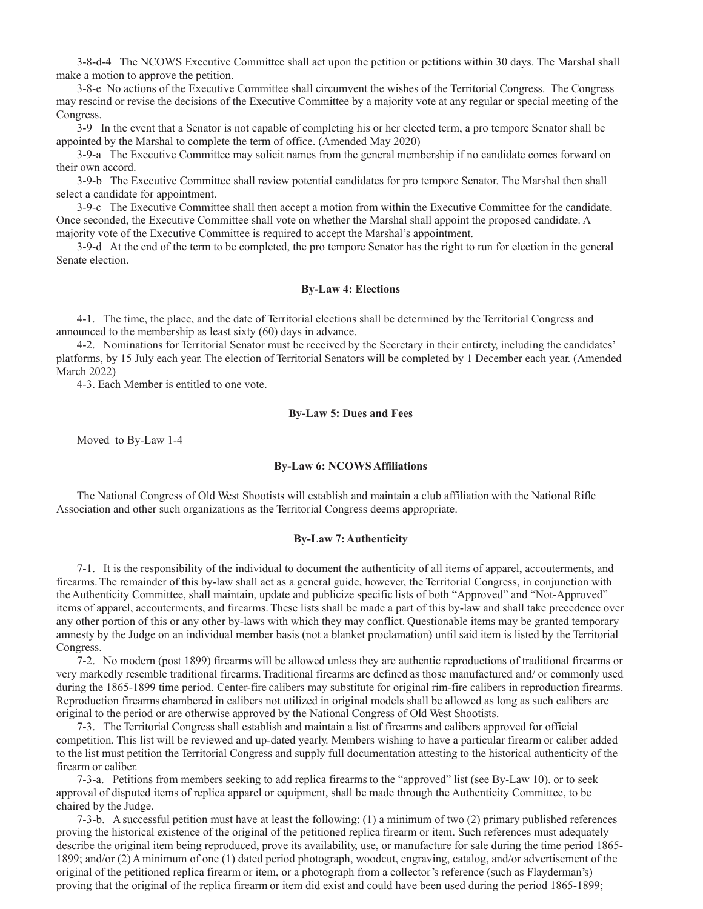3-8-d-4 The NCOWS Executive Committee shall act upon the petition or petitions within 30 days. The Marshal shall make a motion to approve the petition.

3-8-e No actions of the Executive Committee shall circumvent the wishes of the Territorial Congress. The Congress may rescind or revise the decisions of the Executive Committee by a majority vote at any regular or special meeting of the Congress.

3-9 In the event that a Senator is not capable of completing his or her elected term, a pro tempore Senator shall be appointed by the Marshal to complete the term of office. (Amended May 2020)

3-9-a The Executive Committee may solicit names from the general membership if no candidate comes forward on their own accord.

3-9-b The Executive Committee shall review potential candidates for pro tempore Senator. The Marshal then shall select a candidate for appointment.

3-9-c The Executive Committee shall then accept a motion from within the Executive Committee for the candidate. Once seconded, the Executive Committee shall vote on whether the Marshal shall appoint the proposed candidate. A majority vote of the Executive Committee is required to accept the Marshal's appointment.

3-9-d At the end of the term to be completed, the pro tempore Senator has the right to run for election in the general Senate election.

#### **By-Law 4: Elections**

4-1. The time, the place, and the date of Territorial elections shall be determined by the Territorial Congress and announced to the membership as least sixty (60) days in advance.

4-2. Nominations for Territorial Senator must be received by the Secretary in their entirety, including the candidates' platforms, by 15 July each year. The election of Territorial Senators will be completed by 1 December each year. (Amended March 2022)

4-3. Each Member is entitled to one vote.

#### **By-Law 5: Dues and Fees**

Moved to By-Law 1-4

#### **By-Law 6: NCOWS Affiliations**

The National Congress of Old West Shootists will establish and maintain a club affiliation with the National Rifle Association and other such organizations as the Territorial Congress deems appropriate.

#### **By-Law 7: Authenticity**

7-1. It is the responsibility of the individual to document the authenticity of all items of apparel, accouterments, and firearms. The remainder of this by-law shall act as a general guide, however, the Territorial Congress, in conjunction with the Authenticity Committee, shall maintain, update and publicize specific lists of both "Approved" and "Not-Approved" items of apparel, accouterments, and firearms. These lists shall be made a part of this by-law and shall take precedence over any other portion of this or any other by-laws with which they may conflict. Questionable items may be granted temporary amnesty by the Judge on an individual member basis (not a blanket proclamation) until said item is listed by the Territorial Congress.

7-2. No modern (post 1899) firearms will be allowed unless they are authentic reproductions of traditional firearms or very markedly resemble traditional firearms. Traditional firearms are defined as those manufactured and/ or commonly used during the 1865-1899 time period. Center-fire calibers may substitute for original rim-fire calibers in reproduction firearms. Reproduction firearms chambered in calibers not utilized in original models shall be allowed as long as such calibers are original to the period or are otherwise approved by the National Congress of Old West Shootists.

7-3. The Territorial Congress shall establish and maintain a list of firearms and calibers approved for official competition. This list will be reviewed and up-dated yearly. Members wishing to have a particular firearm or caliber added to the list must petition the Territorial Congress and supply full documentation attesting to the historical authenticity of the firearm or caliber.

7-3-a. Petitions from members seeking to add replica firearms to the "approved" list (see By-Law 10). or to seek approval of disputed items of replica apparel or equipment, shall be made through the Authenticity Committee, to be chaired by the Judge.

7-3-b. A successful petition must have at least the following: (1) a minimum of two (2) primary published references proving the historical existence of the original of the petitioned replica firearm or item. Such references must adequately describe the original item being reproduced, prove its availability, use, or manufacture for sale during the time period 1865- 1899; and/or (2) A minimum of one (1) dated period photograph, woodcut, engraving, catalog, and/or advertisement of the original of the petitioned replica firearm or item, or a photograph from a collector's reference (such as Flayderman's) proving that the original of the replica firearm or item did exist and could have been used during the period 1865-1899;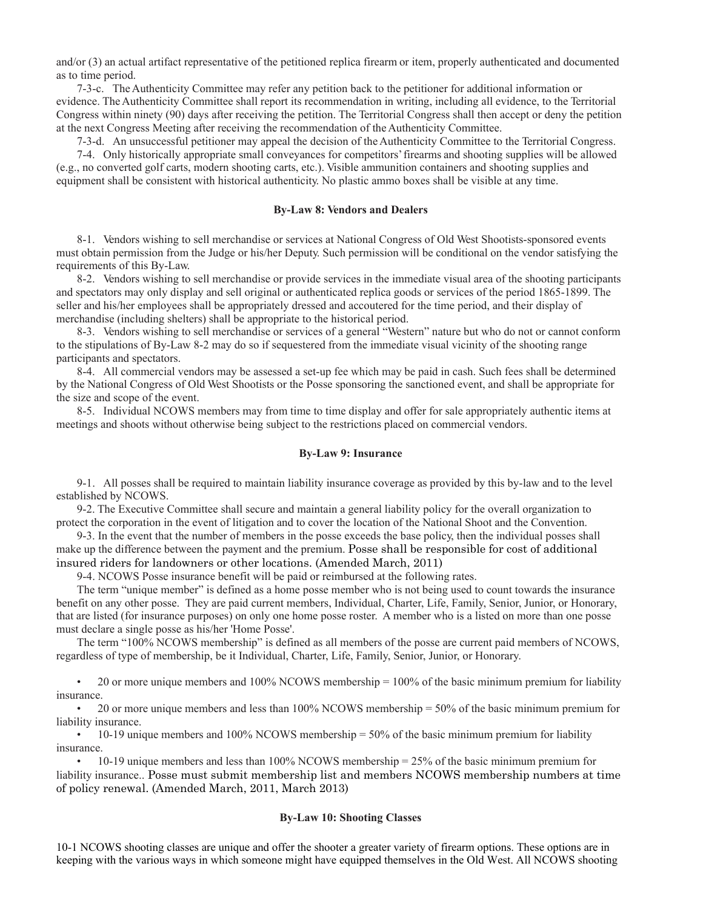and/or (3) an actual artifact representative of the petitioned replica firearm or item, properly authenticated and documented as to time period.

7-3-c. The Authenticity Committee may refer any petition back to the petitioner for additional information or evidence. The Authenticity Committee shall report its recommendation in writing, including all evidence, to the Territorial Congress within ninety (90) days after receiving the petition. The Territorial Congress shall then accept or deny the petition at the next Congress Meeting after receiving the recommendation of the Authenticity Committee.

7-3-d. An unsuccessful petitioner may appeal the decision of the Authenticity Committee to the Territorial Congress.

7-4. Only historically appropriate small conveyances for competitors' firearms and shooting supplies will be allowed (e.g., no converted golf carts, modern shooting carts, etc.). Visible ammunition containers and shooting supplies and equipment shall be consistent with historical authenticity. No plastic ammo boxes shall be visible at any time.

#### **By-Law 8: Vendors and Dealers**

8-1. Vendors wishing to sell merchandise or services at National Congress of Old West Shootists-sponsored events must obtain permission from the Judge or his/her Deputy. Such permission will be conditional on the vendor satisfying the requirements of this By-Law.

8-2. Vendors wishing to sell merchandise or provide services in the immediate visual area of the shooting participants and spectators may only display and sell original or authenticated replica goods or services of the period 1865-1899. The seller and his/her employees shall be appropriately dressed and accoutered for the time period, and their display of merchandise (including shelters) shall be appropriate to the historical period.

8-3. Vendors wishing to sell merchandise or services of a general "Western" nature but who do not or cannot conform to the stipulations of By-Law 8-2 may do so if sequestered from the immediate visual vicinity of the shooting range participants and spectators.

8-4. All commercial vendors may be assessed a set-up fee which may be paid in cash. Such fees shall be determined by the National Congress of Old West Shootists or the Posse sponsoring the sanctioned event, and shall be appropriate for the size and scope of the event.

8-5. Individual NCOWS members may from time to time display and offer for sale appropriately authentic items at meetings and shoots without otherwise being subject to the restrictions placed on commercial vendors.

#### **By-Law 9: Insurance**

9-1. All posses shall be required to maintain liability insurance coverage as provided by this by-law and to the level established by NCOWS.

9-2. The Executive Committee shall secure and maintain a general liability policy for the overall organization to protect the corporation in the event of litigation and to cover the location of the National Shoot and the Convention.

9-3. In the event that the number of members in the posse exceeds the base policy, then the individual posses shall make up the difference between the payment and the premium. Posse shall be responsible for cost of additional insured riders for landowners or other locations. (Amended March, 2011)

9-4. NCOWS Posse insurance benefit will be paid or reimbursed at the following rates.

The term "unique member" is defined as a home posse member who is not being used to count towards the insurance benefit on any other posse. They are paid current members, Individual, Charter, Life, Family, Senior, Junior, or Honorary, that are listed (for insurance purposes) on only one home posse roster. A member who is a listed on more than one posse must declare a single posse as his/her 'Home Posse'.

The term "100% NCOWS membership" is defined as all members of the posse are current paid members of NCOWS, regardless of type of membership, be it Individual, Charter, Life, Family, Senior, Junior, or Honorary.

• 20 or more unique members and 100% NCOWS membership = 100% of the basic minimum premium for liability insurance.

• 20 or more unique members and less than 100% NCOWS membership = 50% of the basic minimum premium for liability insurance.

 $\cdot$  10-19 unique members and 100% NCOWS membership = 50% of the basic minimum premium for liability insurance.

• 10-19 unique members and less than 100% NCOWS membership = 25% of the basic minimum premium for liability insurance.. Posse must submit membership list and members NCOWS membership numbers at time of policy renewal. (Amended March, 2011, March 2013)

#### **By-Law 10: Shooting Classes**

10-1 NCOWS shooting classes are unique and offer the shooter a greater variety of firearm options. These options are in keeping with the various ways in which someone might have equipped themselves in the Old West. All NCOWS shooting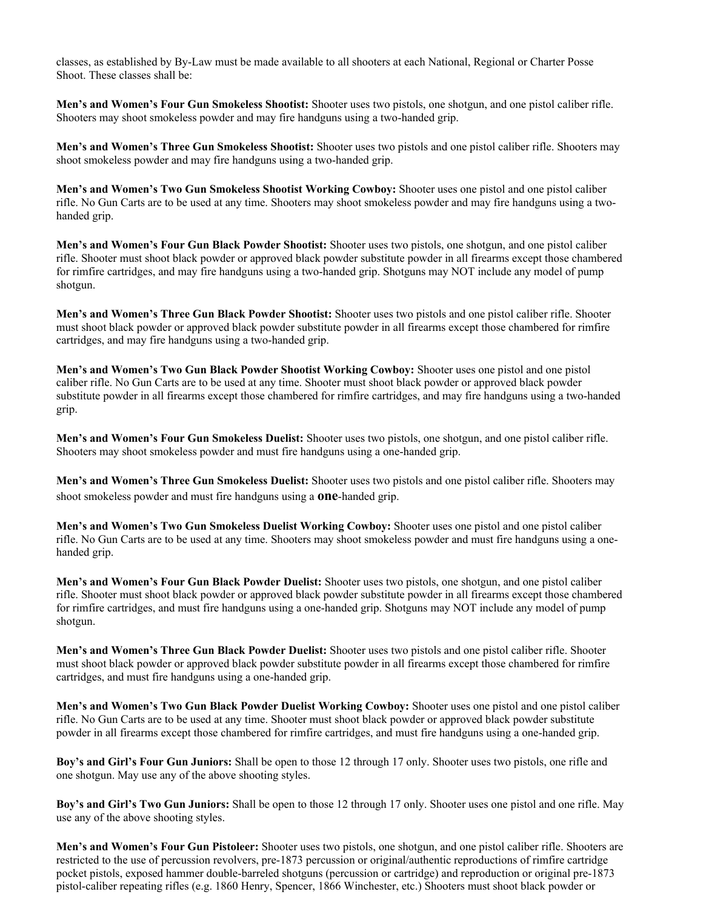classes, as established by By-Law must be made available to all shooters at each National, Regional or Charter Posse Shoot. These classes shall be:

**Men's and Women's Four Gun Smokeless Shootist:** Shooter uses two pistols, one shotgun, and one pistol caliber rifle. Shooters may shoot smokeless powder and may fire handguns using a two-handed grip.

**Men's and Women's Three Gun Smokeless Shootist:** Shooter uses two pistols and one pistol caliber rifle. Shooters may shoot smokeless powder and may fire handguns using a two-handed grip.

**Men's and Women's Two Gun Smokeless Shootist Working Cowboy:** Shooter uses one pistol and one pistol caliber rifle. No Gun Carts are to be used at any time. Shooters may shoot smokeless powder and may fire handguns using a twohanded grip.

**Men's and Women's Four Gun Black Powder Shootist:** Shooter uses two pistols, one shotgun, and one pistol caliber rifle. Shooter must shoot black powder or approved black powder substitute powder in all firearms except those chambered for rimfire cartridges, and may fire handguns using a two-handed grip. Shotguns may NOT include any model of pump shotgun.

**Men's and Women's Three Gun Black Powder Shootist:** Shooter uses two pistols and one pistol caliber rifle. Shooter must shoot black powder or approved black powder substitute powder in all firearms except those chambered for rimfire cartridges, and may fire handguns using a two-handed grip.

**Men's and Women's Two Gun Black Powder Shootist Working Cowboy:** Shooter uses one pistol and one pistol caliber rifle. No Gun Carts are to be used at any time. Shooter must shoot black powder or approved black powder substitute powder in all firearms except those chambered for rimfire cartridges, and may fire handguns using a two-handed grip.

**Men's and Women's Four Gun Smokeless Duelist:** Shooter uses two pistols, one shotgun, and one pistol caliber rifle. Shooters may shoot smokeless powder and must fire handguns using a one-handed grip.

**Men's and Women's Three Gun Smokeless Duelist:** Shooter uses two pistols and one pistol caliber rifle. Shooters may shoot smokeless powder and must fire handguns using a **one**-handed grip.

**Men's and Women's Two Gun Smokeless Duelist Working Cowboy:** Shooter uses one pistol and one pistol caliber rifle. No Gun Carts are to be used at any time. Shooters may shoot smokeless powder and must fire handguns using a onehanded grip.

**Men's and Women's Four Gun Black Powder Duelist:** Shooter uses two pistols, one shotgun, and one pistol caliber rifle. Shooter must shoot black powder or approved black powder substitute powder in all firearms except those chambered for rimfire cartridges, and must fire handguns using a one-handed grip. Shotguns may NOT include any model of pump shotgun.

**Men's and Women's Three Gun Black Powder Duelist:** Shooter uses two pistols and one pistol caliber rifle. Shooter must shoot black powder or approved black powder substitute powder in all firearms except those chambered for rimfire cartridges, and must fire handguns using a one-handed grip.

**Men's and Women's Two Gun Black Powder Duelist Working Cowboy:** Shooter uses one pistol and one pistol caliber rifle. No Gun Carts are to be used at any time. Shooter must shoot black powder or approved black powder substitute powder in all firearms except those chambered for rimfire cartridges, and must fire handguns using a one-handed grip.

**Boy's and Girl's Four Gun Juniors:** Shall be open to those 12 through 17 only. Shooter uses two pistols, one rifle and one shotgun. May use any of the above shooting styles.

**Boy's and Girl's Two Gun Juniors:** Shall be open to those 12 through 17 only. Shooter uses one pistol and one rifle. May use any of the above shooting styles.

**Men's and Women's Four Gun Pistoleer:** Shooter uses two pistols, one shotgun, and one pistol caliber rifle. Shooters are restricted to the use of percussion revolvers, pre-1873 percussion or original/authentic reproductions of rimfire cartridge pocket pistols, exposed hammer double-barreled shotguns (percussion or cartridge) and reproduction or original pre-1873 pistol-caliber repeating rifles (e.g. 1860 Henry, Spencer, 1866 Winchester, etc.) Shooters must shoot black powder or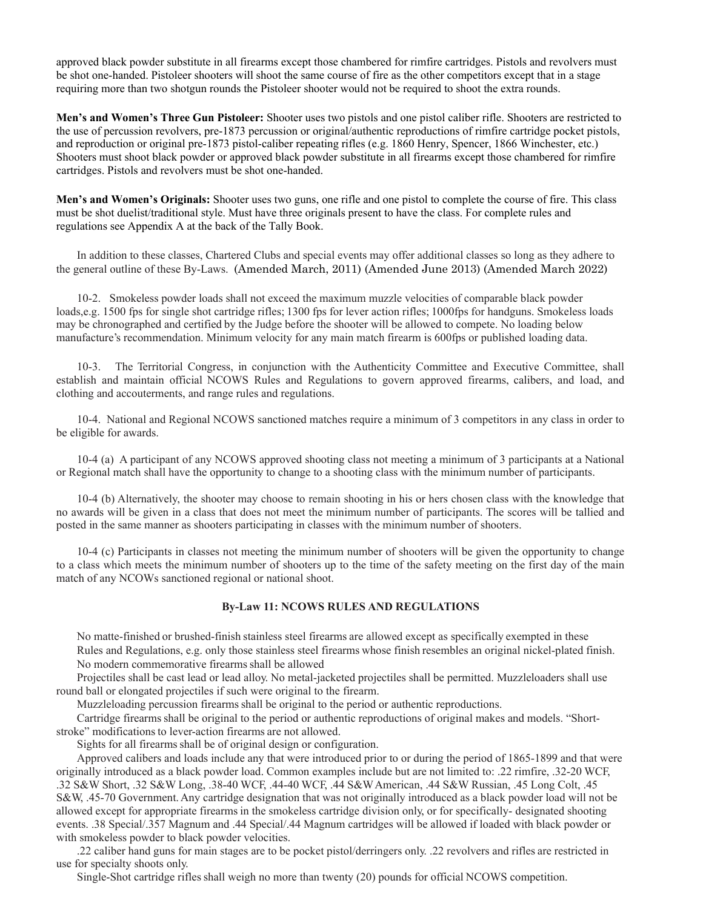approved black powder substitute in all firearms except those chambered for rimfire cartridges. Pistols and revolvers must be shot one-handed. Pistoleer shooters will shoot the same course of fire as the other competitors except that in a stage requiring more than two shotgun rounds the Pistoleer shooter would not be required to shoot the extra rounds.

**Men's and Women's Three Gun Pistoleer:** Shooter uses two pistols and one pistol caliber rifle. Shooters are restricted to the use of percussion revolvers, pre-1873 percussion or original/authentic reproductions of rimfire cartridge pocket pistols, and reproduction or original pre-1873 pistol-caliber repeating rifles (e.g. 1860 Henry, Spencer, 1866 Winchester, etc.) Shooters must shoot black powder or approved black powder substitute in all firearms except those chambered for rimfire cartridges. Pistols and revolvers must be shot one-handed.

**Men's and Women's Originals:** Shooter uses two guns, one rifle and one pistol to complete the course of fire. This class must be shot duelist/traditional style. Must have three originals present to have the class. For complete rules and regulations see Appendix A at the back of the Tally Book.

In addition to these classes, Chartered Clubs and special events may offer additional classes so long as they adhere to the general outline of these By-Laws. (Amended March, 2011) (Amended June 2013) (Amended March 2022)

10-2. Smokeless powder loads shall not exceed the maximum muzzle velocities of comparable black powder loads,e.g. 1500 fps for single shot cartridge rifles; 1300 fps for lever action rifles; 1000fps for handguns. Smokeless loads may be chronographed and certified by the Judge before the shooter will be allowed to compete. No loading below manufacture's recommendation. Minimum velocity for any main match firearm is 600fps or published loading data.

10-3. The Territorial Congress, in conjunction with the Authenticity Committee and Executive Committee, shall establish and maintain official NCOWS Rules and Regulations to govern approved firearms, calibers, and load, and clothing and accouterments, and range rules and regulations.

10-4. National and Regional NCOWS sanctioned matches require a minimum of 3 competitors in any class in order to be eligible for awards.

10-4 (a) A participant of any NCOWS approved shooting class not meeting a minimum of 3 participants at a National or Regional match shall have the opportunity to change to a shooting class with the minimum number of participants.

10-4 (b) Alternatively, the shooter may choose to remain shooting in his or hers chosen class with the knowledge that no awards will be given in a class that does not meet the minimum number of participants. The scores will be tallied and posted in the same manner as shooters participating in classes with the minimum number of shooters.

10-4 (c) Participants in classes not meeting the minimum number of shooters will be given the opportunity to change to a class which meets the minimum number of shooters up to the time of the safety meeting on the first day of the main match of any NCOWs sanctioned regional or national shoot.

## **By-Law 11: NCOWS RULES AND REGULATIONS**

No matte-finished or brushed-finish stainless steel firearms are allowed except as specifically exempted in these Rules and Regulations, e.g. only those stainless steel firearms whose finish resembles an original nickel-plated finish. No modern commemorative firearms shall be allowed

Projectiles shall be cast lead or lead alloy. No metal-jacketed projectiles shall be permitted. Muzzleloaders shall use round ball or elongated projectiles if such were original to the firearm.

Muzzleloading percussion firearms shall be original to the period or authentic reproductions.

Cartridge firearms shall be original to the period or authentic reproductions of original makes and models. "Shortstroke" modifications to lever-action firearms are not allowed.

Sights for all firearms shall be of original design or configuration.

Approved calibers and loads include any that were introduced prior to or during the period of 1865-1899 and that were originally introduced as a black powder load. Common examples include but are not limited to: .22 rimfire, .32-20 WCF, .32 S&W Short, .32 S&W Long, .38-40 WCF, .44-40 WCF, .44 S&W American, .44 S&W Russian, .45 Long Colt, .45 S&W, .45-70 Government. Any cartridge designation that was not originally introduced as a black powder load will not be allowed except for appropriate firearms in the smokeless cartridge division only, or for specifically- designated shooting events. .38 Special/.357 Magnum and .44 Special/.44 Magnum cartridges will be allowed if loaded with black powder or with smokeless powder to black powder velocities.

.22 caliber hand guns for main stages are to be pocket pistol/derringers only. .22 revolvers and rifles are restricted in use for specialty shoots only.

Single-Shot cartridge rifles shall weigh no more than twenty (20) pounds for official NCOWS competition.